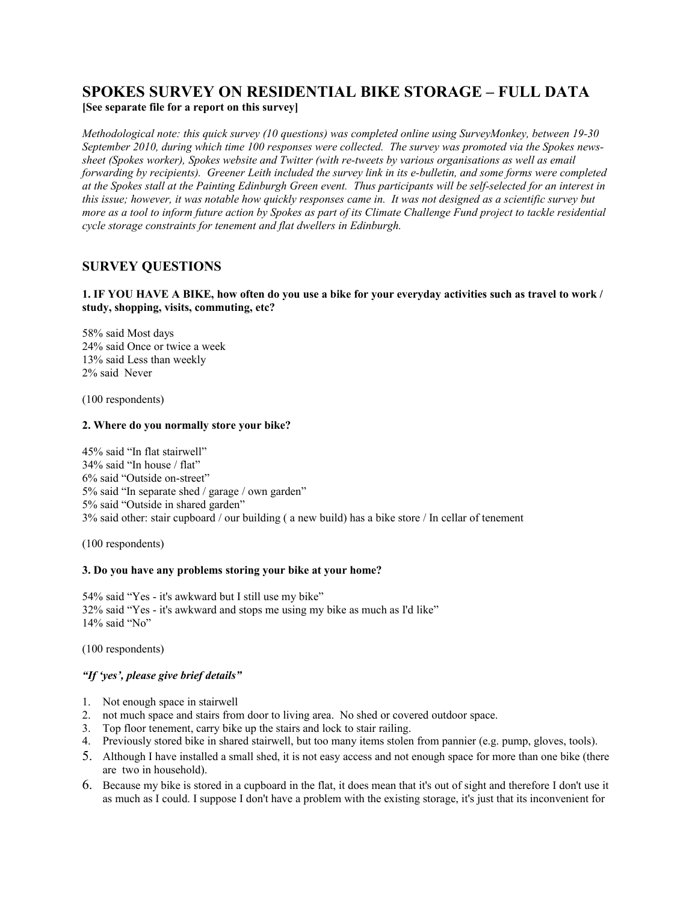# **SPOKES SURVEY ON RESIDENTIAL BIKE STORAGE – FULL DATA [See separate file for a report on this survey]**

*Methodological note: this quick survey (10 questions) was completed online using SurveyMonkey, between 19-30 September 2010, during which time 100 responses were collected. The survey was promoted via the Spokes newssheet (Spokes worker), Spokes website and Twitter (with re-tweets by various organisations as well as email forwarding by recipients). Greener Leith included the survey link in its e-bulletin, and some forms were completed at the Spokes stall at the Painting Edinburgh Green event. Thus participants will be self-selected for an interest in this issue; however, it was notable how quickly responses came in. It was not designed as a scientific survey but more as a tool to inform future action by Spokes as part of its Climate Challenge Fund project to tackle residential cycle storage constraints for tenement and flat dwellers in Edinburgh.*

# **SURVEY QUESTIONS**

### **1. IF YOU HAVE A BIKE, how often do you use a bike for your everyday activities such as travel to work / study, shopping, visits, commuting, etc?**

58% said Most days 24% said Once or twice a week 13% said Less than weekly 2% said Never

(100 respondents)

### **2. Where do you normally store your bike?**

45% said "In flat stairwell" 34% said "In house / flat" 6% said "Outside on-street" 5% said "In separate shed / garage / own garden" 5% said "Outside in shared garden" 3% said other: stair cupboard / our building ( a new build) has a bike store / In cellar of tenement

(100 respondents)

### **3. Do you have any problems storing your bike at your home?**

54% said "Yes - it's awkward but I still use my bike" 32% said "Yes - it's awkward and stops me using my bike as much as I'd like" 14% said "No"

(100 respondents)

### *"If 'yes', please give brief details"*

- 1. Not enough space in stairwell
- 2. not much space and stairs from door to living area. No shed or covered outdoor space.
- 3. Top floor tenement, carry bike up the stairs and lock to stair railing.
- 4. Previously stored bike in shared stairwell, but too many items stolen from pannier (e.g. pump, gloves, tools).
- 5. Although I have installed a small shed, it is not easy access and not enough space for more than one bike (there are two in household).
- 6. Because my bike is stored in a cupboard in the flat, it does mean that it's out of sight and therefore I don't use it as much as I could. I suppose I don't have a problem with the existing storage, it's just that its inconvenient for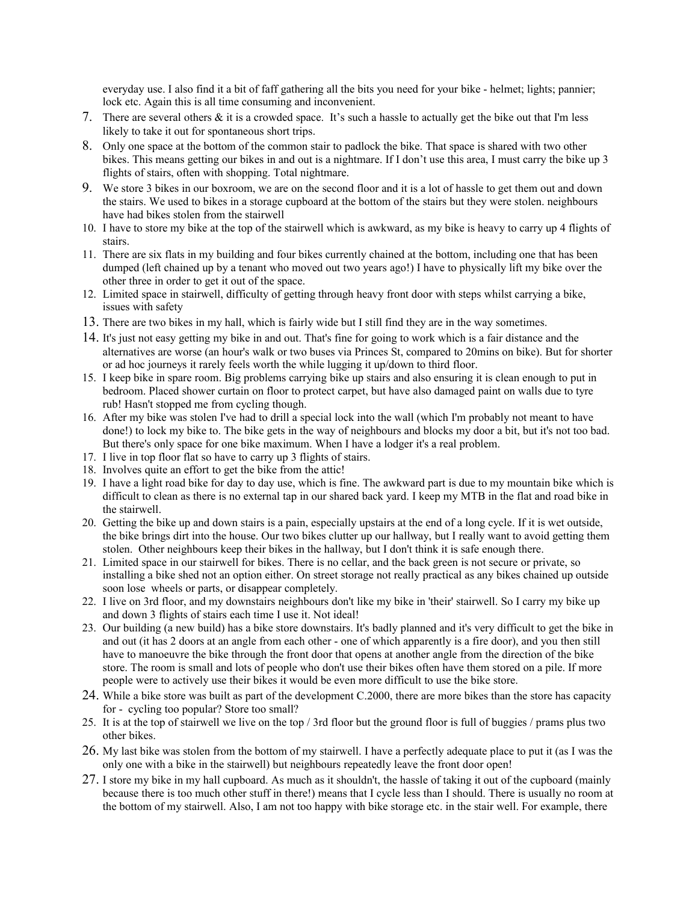everyday use. I also find it a bit of faff gathering all the bits you need for your bike - helmet; lights; pannier; lock etc. Again this is all time consuming and inconvenient.

- 7. There are several others & it is a crowded space. It's such a hassle to actually get the bike out that I'm less likely to take it out for spontaneous short trips.
- 8. Only one space at the bottom of the common stair to padlock the bike. That space is shared with two other bikes. This means getting our bikes in and out is a nightmare. If I don't use this area, I must carry the bike up 3 flights of stairs, often with shopping. Total nightmare.
- 9. We store 3 bikes in our boxroom, we are on the second floor and it is a lot of hassle to get them out and down the stairs. We used to bikes in a storage cupboard at the bottom of the stairs but they were stolen. neighbours have had bikes stolen from the stairwell
- 10. I have to store my bike at the top of the stairwell which is awkward, as my bike is heavy to carry up 4 flights of stairs.
- 11. There are six flats in my building and four bikes currently chained at the bottom, including one that has been dumped (left chained up by a tenant who moved out two years ago!) I have to physically lift my bike over the other three in order to get it out of the space.
- 12. Limited space in stairwell, difficulty of getting through heavy front door with steps whilst carrying a bike, issues with safety
- 13. There are two bikes in my hall, which is fairly wide but I still find they are in the way sometimes.
- 14. It's just not easy getting my bike in and out. That's fine for going to work which is a fair distance and the alternatives are worse (an hour's walk or two buses via Princes St, compared to 20mins on bike). But for shorter or ad hoc journeys it rarely feels worth the while lugging it up/down to third floor.
- 15. I keep bike in spare room. Big problems carrying bike up stairs and also ensuring it is clean enough to put in bedroom. Placed shower curtain on floor to protect carpet, but have also damaged paint on walls due to tyre rub! Hasn't stopped me from cycling though.
- 16. After my bike was stolen I've had to drill a special lock into the wall (which I'm probably not meant to have done!) to lock my bike to. The bike gets in the way of neighbours and blocks my door a bit, but it's not too bad. But there's only space for one bike maximum. When I have a lodger it's a real problem.
- 17. I live in top floor flat so have to carry up 3 flights of stairs.
- 18. Involves quite an effort to get the bike from the attic!
- 19. I have a light road bike for day to day use, which is fine. The awkward part is due to my mountain bike which is difficult to clean as there is no external tap in our shared back yard. I keep my MTB in the flat and road bike in the stairwell.
- 20. Getting the bike up and down stairs is a pain, especially upstairs at the end of a long cycle. If it is wet outside, the bike brings dirt into the house. Our two bikes clutter up our hallway, but I really want to avoid getting them stolen. Other neighbours keep their bikes in the hallway, but I don't think it is safe enough there.
- 21. Limited space in our stairwell for bikes. There is no cellar, and the back green is not secure or private, so installing a bike shed not an option either. On street storage not really practical as any bikes chained up outside soon lose wheels or parts, or disappear completely.
- 22. I live on 3rd floor, and my downstairs neighbours don't like my bike in 'their' stairwell. So I carry my bike up and down 3 flights of stairs each time I use it. Not ideal!
- 23. Our building (a new build) has a bike store downstairs. It's badly planned and it's very difficult to get the bike in and out (it has 2 doors at an angle from each other - one of which apparently is a fire door), and you then still have to manoeuvre the bike through the front door that opens at another angle from the direction of the bike store. The room is small and lots of people who don't use their bikes often have them stored on a pile. If more people were to actively use their bikes it would be even more difficult to use the bike store.
- 24. While a bike store was built as part of the development C.2000, there are more bikes than the store has capacity for - cycling too popular? Store too small?
- 25. It is at the top of stairwell we live on the top / 3rd floor but the ground floor is full of buggies / prams plus two other bikes.
- 26. My last bike was stolen from the bottom of my stairwell. I have a perfectly adequate place to put it (as I was the only one with a bike in the stairwell) but neighbours repeatedly leave the front door open!
- 27. I store my bike in my hall cupboard. As much as it shouldn't, the hassle of taking it out of the cupboard (mainly because there is too much other stuff in there!) means that I cycle less than I should. There is usually no room at the bottom of my stairwell. Also, I am not too happy with bike storage etc. in the stair well. For example, there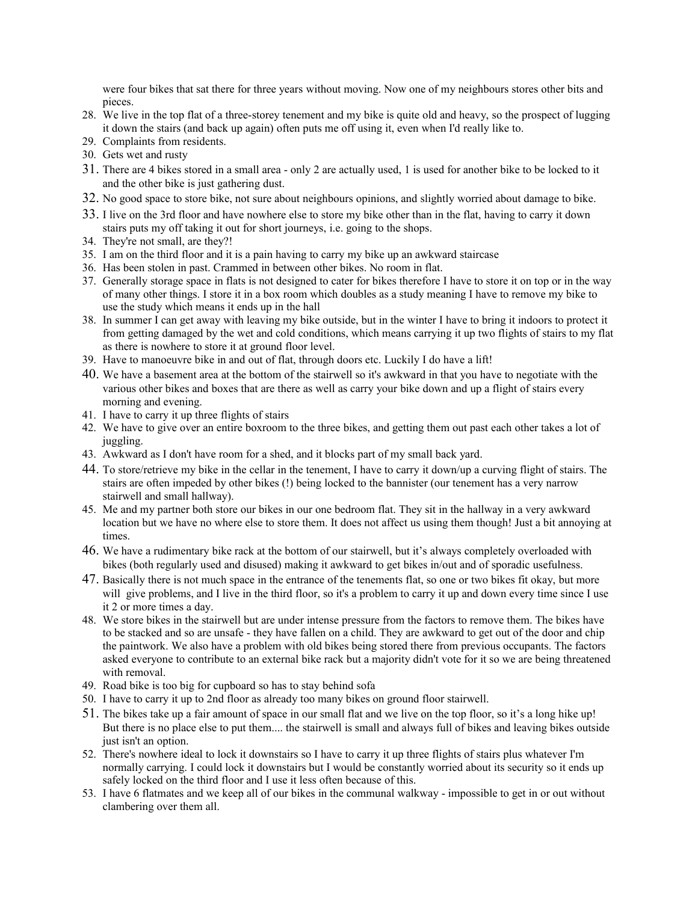were four bikes that sat there for three years without moving. Now one of my neighbours stores other bits and pieces.

- 28. We live in the top flat of a three-storey tenement and my bike is quite old and heavy, so the prospect of lugging it down the stairs (and back up again) often puts me off using it, even when I'd really like to.
- 29. Complaints from residents.
- 30. Gets wet and rusty
- 31. There are 4 bikes stored in a small area only 2 are actually used, 1 is used for another bike to be locked to it and the other bike is just gathering dust.
- 32. No good space to store bike, not sure about neighbours opinions, and slightly worried about damage to bike.
- 33. I live on the 3rd floor and have nowhere else to store my bike other than in the flat, having to carry it down stairs puts my off taking it out for short journeys, i.e. going to the shops.
- 34. They're not small, are they?!
- 35. I am on the third floor and it is a pain having to carry my bike up an awkward staircase
- 36. Has been stolen in past. Crammed in between other bikes. No room in flat.
- 37. Generally storage space in flats is not designed to cater for bikes therefore I have to store it on top or in the way of many other things. I store it in a box room which doubles as a study meaning I have to remove my bike to use the study which means it ends up in the hall
- 38. In summer I can get away with leaving my bike outside, but in the winter I have to bring it indoors to protect it from getting damaged by the wet and cold conditions, which means carrying it up two flights of stairs to my flat as there is nowhere to store it at ground floor level.
- 39. Have to manoeuvre bike in and out of flat, through doors etc. Luckily I do have a lift!
- 40. We have a basement area at the bottom of the stairwell so it's awkward in that you have to negotiate with the various other bikes and boxes that are there as well as carry your bike down and up a flight of stairs every morning and evening.
- 41. I have to carry it up three flights of stairs
- 42. We have to give over an entire boxroom to the three bikes, and getting them out past each other takes a lot of juggling.
- 43. Awkward as I don't have room for a shed, and it blocks part of my small back yard.
- 44. To store/retrieve my bike in the cellar in the tenement, I have to carry it down/up a curving flight of stairs. The stairs are often impeded by other bikes (!) being locked to the bannister (our tenement has a very narrow stairwell and small hallway).
- 45. Me and my partner both store our bikes in our one bedroom flat. They sit in the hallway in a very awkward location but we have no where else to store them. It does not affect us using them though! Just a bit annoying at times.
- 46. We have a rudimentary bike rack at the bottom of our stairwell, but it's always completely overloaded with bikes (both regularly used and disused) making it awkward to get bikes in/out and of sporadic usefulness.
- 47. Basically there is not much space in the entrance of the tenements flat, so one or two bikes fit okay, but more will give problems, and I live in the third floor, so it's a problem to carry it up and down every time since I use it 2 or more times a day.
- 48. We store bikes in the stairwell but are under intense pressure from the factors to remove them. The bikes have to be stacked and so are unsafe - they have fallen on a child. They are awkward to get out of the door and chip the paintwork. We also have a problem with old bikes being stored there from previous occupants. The factors asked everyone to contribute to an external bike rack but a majority didn't vote for it so we are being threatened with removal.
- 49. Road bike is too big for cupboard so has to stay behind sofa
- 50. I have to carry it up to 2nd floor as already too many bikes on ground floor stairwell.
- 51. The bikes take up a fair amount of space in our small flat and we live on the top floor, so it's a long hike up! But there is no place else to put them.... the stairwell is small and always full of bikes and leaving bikes outside just isn't an option.
- 52. There's nowhere ideal to lock it downstairs so I have to carry it up three flights of stairs plus whatever I'm normally carrying. I could lock it downstairs but I would be constantly worried about its security so it ends up safely locked on the third floor and I use it less often because of this.
- 53. I have 6 flatmates and we keep all of our bikes in the communal walkway impossible to get in or out without clambering over them all.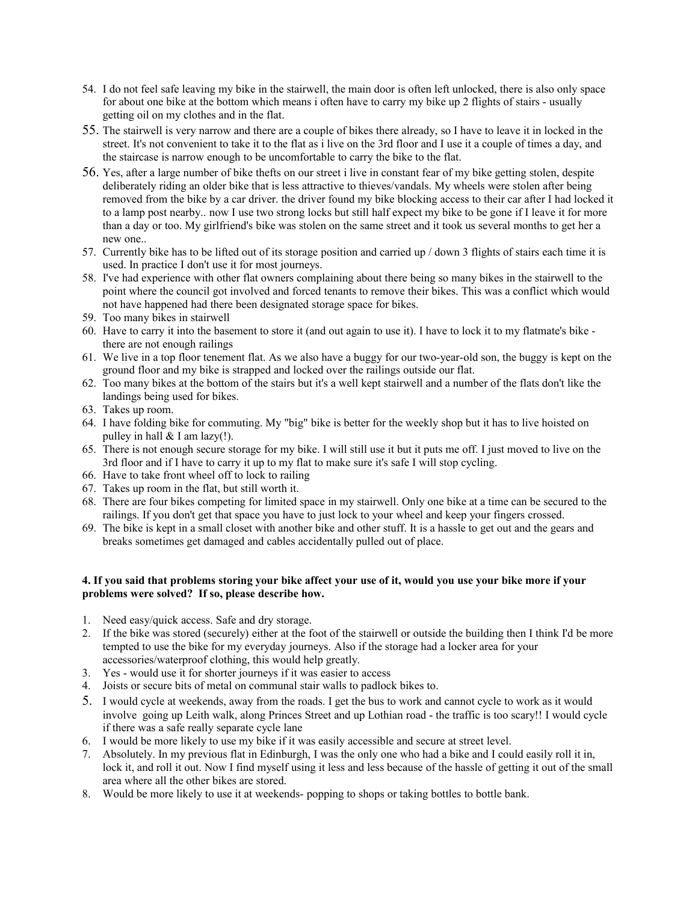- 54. I do not feel safe leaving my bike in the stairwell, the main door is often left unlocked, there is also only space for about one bike at the bottom which means i often have to carry my bike up 2 flights of stairs - usually getting oil on my clothes and in the flat.
- 55. The stairwell is very narrow and there are a couple of bikes there already, so I have to leave it in locked in the street. It's not convenient to take it to the flat as i live on the 3rd floor and I use it a couple of times a day, and the staircase is narrow enough to be uncomfortable to carry the bike to the flat.
- 56. Yes, after a large number of bike thefts on our street i live in constant fear of my bike getting stolen, despite deliberately riding an older bike that is less attractive to thieves/vandals. My wheels were stolen after being removed from the bike by a car driver. the driver found my bike blocking access to their car after I had locked it to a lamp post nearby.. now I use two strong locks but still half expect my bike to be gone if I leave it for more than a day or too. My girlfriend's bike was stolen on the same street and it took us several months to get her a new one..
- 57. Currently bike has to be lifted out of its storage position and carried up / down 3 flights of stairs each time it is used. In practice I don't use it for most journeys.
- 58. I've had experience with other flat owners complaining about there being so many bikes in the stairwell to the point where the council got involved and forced tenants to remove their bikes. This was a conflict which would not have happened had there been designated storage space for bikes.
- 59. Too many bikes in stairwell
- 60. Have to carry it into the basement to store it (and out again to use it). I have to lock it to my flatmate's bike there are not enough railings
- 61. We live in a top floor tenement flat. As we also have a buggy for our two-year-old son, the buggy is kept on the ground floor and my bike is strapped and locked over the railings outside our flat.
- 62. Too many bikes at the bottom of the stairs but it's a well kept stairwell and a number of the flats don't like the landings being used for bikes.
- 63. Takes up room.
- 64. I have folding bike for commuting. My "big" bike is better for the weekly shop but it has to live hoisted on pulley in hall  $&$  I am lazy(!).
- 65. There is not enough secure storage for my bike. I will still use it but it puts me off. I just moved to live on the 3rd floor and if I have to carry it up to my flat to make sure it's safe I will stop cycling.
- 66. Have to take front wheel off to lock to railing
- 67. Takes up room in the flat, but still worth it.
- 68. There are four bikes competing for limited space in my stairwell. Only one bike at a time can be secured to the railings. If you don't get that space you have to just lock to your wheel and keep your fingers crossed.
- 69. The bike is kept in a small closet with another bike and other stuff. It is a hassle to get out and the gears and breaks sometimes get damaged and cables accidentally pulled out of place.

### **4. If you said that problems storing your bike affect your use of it, would you use your bike more if your problems were solved? If so, please describe how.**

- 1. Need easy/quick access. Safe and dry storage.
- 2. If the bike was stored (securely) either at the foot of the stairwell or outside the building then I think I'd be more tempted to use the bike for my everyday journeys. Also if the storage had a locker area for your accessories/waterproof clothing, this would help greatly.
- 3. Yes would use it for shorter journeys if it was easier to access
- 4. Joists or secure bits of metal on communal stair walls to padlock bikes to.
- 5. I would cycle at weekends, away from the roads. I get the bus to work and cannot cycle to work as it would involve going up Leith walk, along Princes Street and up Lothian road - the traffic is too scary!! I would cycle if there was a safe really separate cycle lane
- 6. I would be more likely to use my bike if it was easily accessible and secure at street level.
- 7. Absolutely. In my previous flat in Edinburgh, I was the only one who had a bike and I could easily roll it in, lock it, and roll it out. Now I find myself using it less and less because of the hassle of getting it out of the small area where all the other bikes are stored.
- 8. Would be more likely to use it at weekends-popping to shops or taking bottles to bottle bank.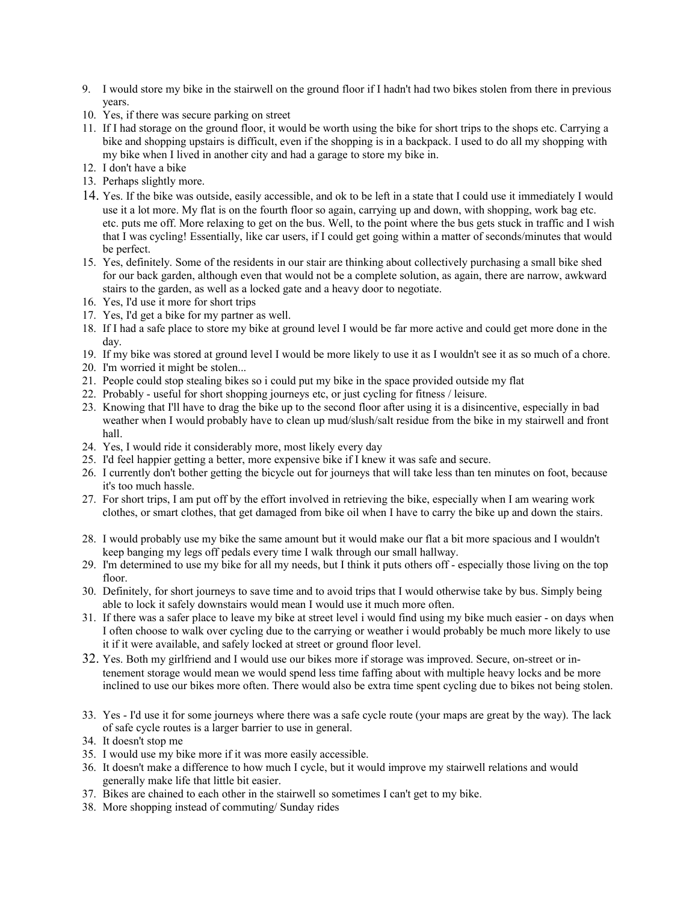- 9. I would store my bike in the stairwell on the ground floor if I hadn't had two bikes stolen from there in previous years.
- 10. Yes, if there was secure parking on street
- 11. If I had storage on the ground floor, it would be worth using the bike for short trips to the shops etc. Carrying a bike and shopping upstairs is difficult, even if the shopping is in a backpack. I used to do all my shopping with my bike when I lived in another city and had a garage to store my bike in.
- 12. I don't have a bike
- 13. Perhaps slightly more.
- 14. Yes. If the bike was outside, easily accessible, and ok to be left in a state that I could use it immediately I would use it a lot more. My flat is on the fourth floor so again, carrying up and down, with shopping, work bag etc. etc. puts me off. More relaxing to get on the bus. Well, to the point where the bus gets stuck in traffic and I wish that I was cycling! Essentially, like car users, if I could get going within a matter of seconds/minutes that would be perfect.
- 15. Yes, definitely. Some of the residents in our stair are thinking about collectively purchasing a small bike shed for our back garden, although even that would not be a complete solution, as again, there are narrow, awkward stairs to the garden, as well as a locked gate and a heavy door to negotiate.
- 16. Yes, I'd use it more for short trips
- 17. Yes, I'd get a bike for my partner as well.
- 18. If I had a safe place to store my bike at ground level I would be far more active and could get more done in the day.
- 19. If my bike was stored at ground level I would be more likely to use it as I wouldn't see it as so much of a chore.
- 20. I'm worried it might be stolen...
- 21. People could stop stealing bikes so i could put my bike in the space provided outside my flat
- 22. Probably useful for short shopping journeys etc, or just cycling for fitness / leisure.
- 23. Knowing that I'll have to drag the bike up to the second floor after using it is a disincentive, especially in bad weather when I would probably have to clean up mud/slush/salt residue from the bike in my stairwell and front hall.
- 24. Yes, I would ride it considerably more, most likely every day
- 25. I'd feel happier getting a better, more expensive bike if I knew it was safe and secure.
- 26. I currently don't bother getting the bicycle out for journeys that will take less than ten minutes on foot, because it's too much hassle.
- 27. For short trips, I am put off by the effort involved in retrieving the bike, especially when I am wearing work clothes, or smart clothes, that get damaged from bike oil when I have to carry the bike up and down the stairs.
- 28. I would probably use my bike the same amount but it would make our flat a bit more spacious and I wouldn't keep banging my legs off pedals every time I walk through our small hallway.
- 29. I'm determined to use my bike for all my needs, but I think it puts others off especially those living on the top floor.
- 30. Definitely, for short journeys to save time and to avoid trips that I would otherwise take by bus. Simply being able to lock it safely downstairs would mean I would use it much more often.
- 31. If there was a safer place to leave my bike at street level i would find using my bike much easier on days when I often choose to walk over cycling due to the carrying or weather i would probably be much more likely to use it if it were available, and safely locked at street or ground floor level.
- 32. Yes. Both my girlfriend and I would use our bikes more if storage was improved. Secure, on-street or intenement storage would mean we would spend less time faffing about with multiple heavy locks and be more inclined to use our bikes more often. There would also be extra time spent cycling due to bikes not being stolen.
- 33. Yes I'd use it for some journeys where there was a safe cycle route (your maps are great by the way). The lack of safe cycle routes is a larger barrier to use in general.
- 34. It doesn't stop me
- 35. I would use my bike more if it was more easily accessible.
- 36. It doesn't make a difference to how much I cycle, but it would improve my stairwell relations and would generally make life that little bit easier.
- 37. Bikes are chained to each other in the stairwell so sometimes I can't get to my bike.
- 38. More shopping instead of commuting/ Sunday rides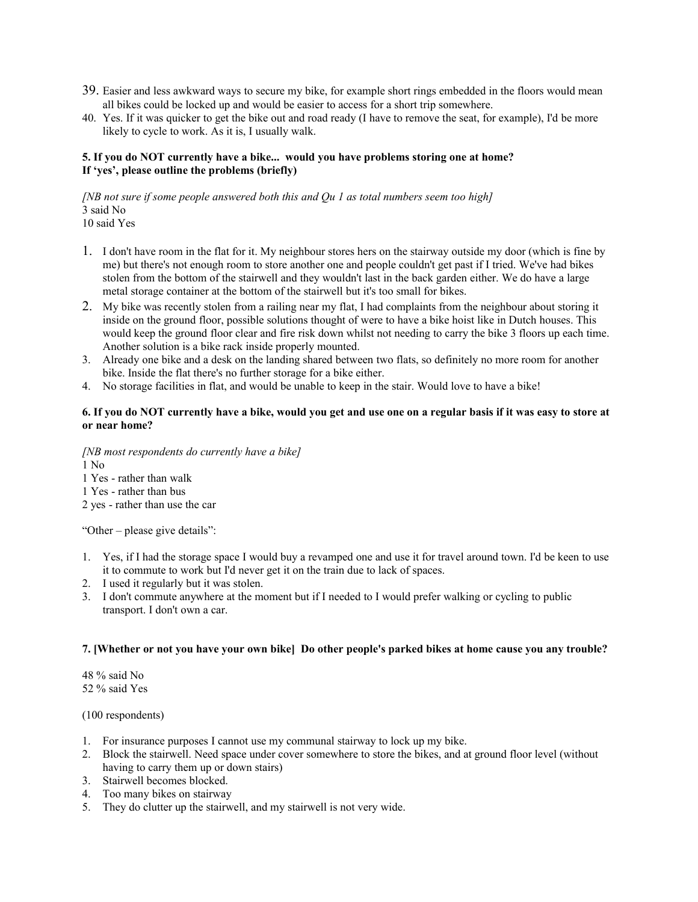- 39. Easier and less awkward ways to secure my bike, for example short rings embedded in the floors would mean all bikes could be locked up and would be easier to access for a short trip somewhere.
- 40. Yes. If it was quicker to get the bike out and road ready (I have to remove the seat, for example), I'd be more likely to cycle to work. As it is, I usually walk.

### **5. If you do NOT currently have a bike... would you have problems storing one at home? If 'yes', please outline the problems (briefly)**

*[NB not sure if some people answered both this and Qu 1 as total numbers seem too high]* 3 said No

- 10 said Yes
- 1. I don't have room in the flat for it. My neighbour stores hers on the stairway outside my door (which is fine by me) but there's not enough room to store another one and people couldn't get past if I tried. We've had bikes stolen from the bottom of the stairwell and they wouldn't last in the back garden either. We do have a large metal storage container at the bottom of the stairwell but it's too small for bikes.
- 2. My bike was recently stolen from a railing near my flat, I had complaints from the neighbour about storing it inside on the ground floor, possible solutions thought of were to have a bike hoist like in Dutch houses. This would keep the ground floor clear and fire risk down whilst not needing to carry the bike 3 floors up each time. Another solution is a bike rack inside properly mounted.
- 3. Already one bike and a desk on the landing shared between two flats, so definitely no more room for another bike. Inside the flat there's no further storage for a bike either.
- 4. No storage facilities in flat, and would be unable to keep in the stair. Would love to have a bike!

### **6. If you do NOT currently have a bike, would you get and use one on a regular basis if it was easy to store at or near home?**

*[NB most respondents do currently have a bike]*

1 No

1 Yes - rather than walk

1 Yes - rather than bus

2 yes - rather than use the car

"Other – please give details":

- 1. Yes, if I had the storage space I would buy a revamped one and use it for travel around town. I'd be keen to use it to commute to work but I'd never get it on the train due to lack of spaces.
- 2. I used it regularly but it was stolen.
- 3. I don't commute anywhere at the moment but if I needed to I would prefer walking or cycling to public transport. I don't own a car.

## **7. [Whether or not you have your own bike] Do other people's parked bikes at home cause you any trouble?**

48 % said No 52 % said Yes

(100 respondents)

- 1. For insurance purposes I cannot use my communal stairway to lock up my bike.
- 2. Block the stairwell. Need space under cover somewhere to store the bikes, and at ground floor level (without having to carry them up or down stairs)
- 3. Stairwell becomes blocked.
- 4. Too many bikes on stairway
- 5. They do clutter up the stairwell, and my stairwell is not very wide.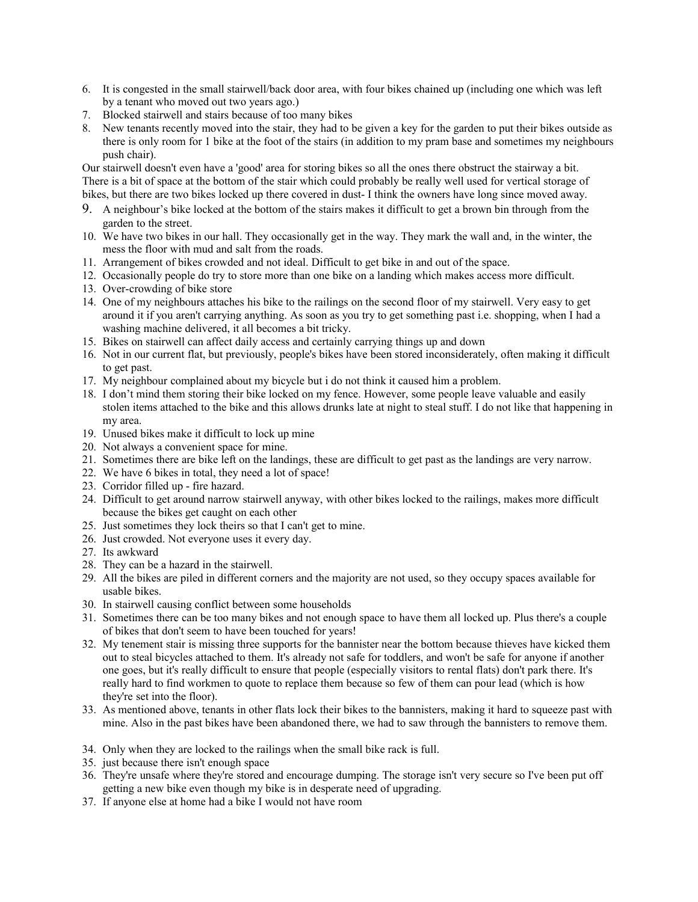- 6. It is congested in the small stairwell/back door area, with four bikes chained up (including one which was left by a tenant who moved out two years ago.)
- 7. Blocked stairwell and stairs because of too many bikes
- 8. New tenants recently moved into the stair, they had to be given a key for the garden to put their bikes outside as there is only room for 1 bike at the foot of the stairs (in addition to my pram base and sometimes my neighbours push chair).

Our stairwell doesn't even have a 'good' area for storing bikes so all the ones there obstruct the stairway a bit. There is a bit of space at the bottom of the stair which could probably be really well used for vertical storage of bikes, but there are two bikes locked up there covered in dust- I think the owners have long since moved away.

- 9. A neighbour's bike locked at the bottom of the stairs makes it difficult to get a brown bin through from the garden to the street.
- 10. We have two bikes in our hall. They occasionally get in the way. They mark the wall and, in the winter, the mess the floor with mud and salt from the roads.
- 11. Arrangement of bikes crowded and not ideal. Difficult to get bike in and out of the space.
- 12. Occasionally people do try to store more than one bike on a landing which makes access more difficult.
- 13. Over-crowding of bike store
- 14. One of my neighbours attaches his bike to the railings on the second floor of my stairwell. Very easy to get around it if you aren't carrying anything. As soon as you try to get something past i.e. shopping, when I had a washing machine delivered, it all becomes a bit tricky.
- 15. Bikes on stairwell can affect daily access and certainly carrying things up and down
- 16. Not in our current flat, but previously, people's bikes have been stored inconsiderately, often making it difficult to get past.
- 17. My neighbour complained about my bicycle but i do not think it caused him a problem.
- 18. I don't mind them storing their bike locked on my fence. However, some people leave valuable and easily stolen items attached to the bike and this allows drunks late at night to steal stuff. I do not like that happening in my area.
- 19. Unused bikes make it difficult to lock up mine
- 20. Not always a convenient space for mine.
- 21. Sometimes there are bike left on the landings, these are difficult to get past as the landings are very narrow.
- 22. We have 6 bikes in total, they need a lot of space!
- 23. Corridor filled up fire hazard.
- 24. Difficult to get around narrow stairwell anyway, with other bikes locked to the railings, makes more difficult because the bikes get caught on each other
- 25. Just sometimes they lock theirs so that I can't get to mine.
- 26. Just crowded. Not everyone uses it every day.
- 27. Its awkward
- 28. They can be a hazard in the stairwell.
- 29. All the bikes are piled in different corners and the majority are not used, so they occupy spaces available for usable bikes.
- 30. In stairwell causing conflict between some households
- 31. Sometimes there can be too many bikes and not enough space to have them all locked up. Plus there's a couple of bikes that don't seem to have been touched for years!
- 32. My tenement stair is missing three supports for the bannister near the bottom because thieves have kicked them out to steal bicycles attached to them. It's already not safe for toddlers, and won't be safe for anyone if another one goes, but it's really difficult to ensure that people (especially visitors to rental flats) don't park there. It's really hard to find workmen to quote to replace them because so few of them can pour lead (which is how they're set into the floor).
- 33. As mentioned above, tenants in other flats lock their bikes to the bannisters, making it hard to squeeze past with mine. Also in the past bikes have been abandoned there, we had to saw through the bannisters to remove them.
- 34. Only when they are locked to the railings when the small bike rack is full.
- 35. just because there isn't enough space
- 36. They're unsafe where they're stored and encourage dumping. The storage isn't very secure so I've been put off getting a new bike even though my bike is in desperate need of upgrading.
- 37. If anyone else at home had a bike I would not have room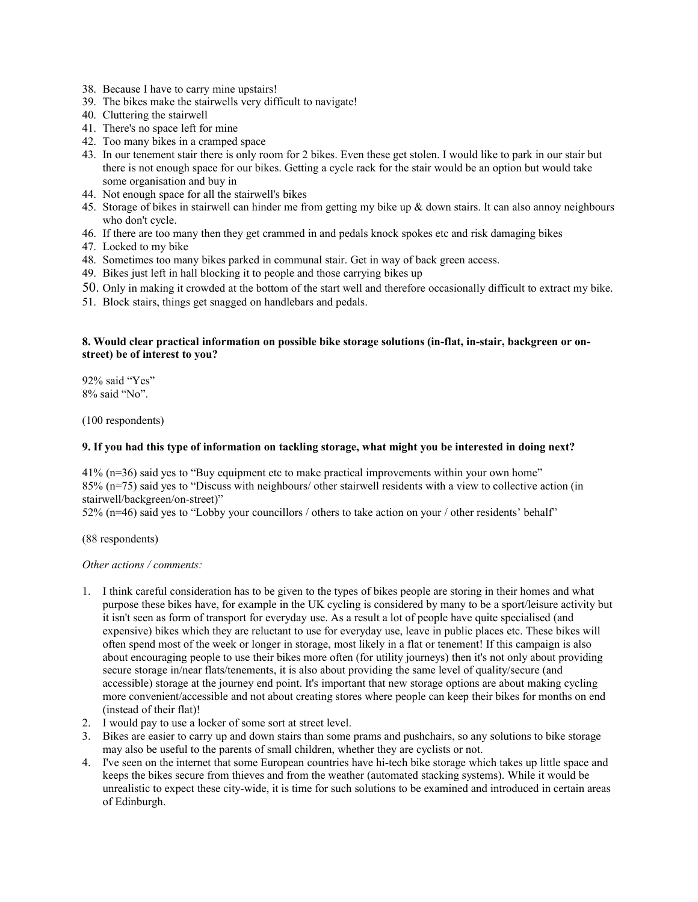- 38. Because I have to carry mine upstairs!
- 39. The bikes make the stairwells very difficult to navigate!
- 40. Cluttering the stairwell
- 41. There's no space left for mine
- 42. Too many bikes in a cramped space
- 43. In our tenement stair there is only room for 2 bikes. Even these get stolen. I would like to park in our stair but there is not enough space for our bikes. Getting a cycle rack for the stair would be an option but would take some organisation and buy in
- 44. Not enough space for all the stairwell's bikes
- 45. Storage of bikes in stairwell can hinder me from getting my bike up & down stairs. It can also annoy neighbours who don't cycle.
- 46. If there are too many then they get crammed in and pedals knock spokes etc and risk damaging bikes
- 47. Locked to my bike
- 48. Sometimes too many bikes parked in communal stair. Get in way of back green access.
- 49. Bikes just left in hall blocking it to people and those carrying bikes up
- 50. Only in making it crowded at the bottom of the start well and therefore occasionally difficult to extract my bike.
- 51. Block stairs, things get snagged on handlebars and pedals.

#### **8. Would clear practical information on possible bike storage solutions (in-flat, in-stair, backgreen or onstreet) be of interest to you?**

92% said "Yes" 8% said "No".

(100 respondents)

#### **9. If you had this type of information on tackling storage, what might you be interested in doing next?**

41% (n=36) said yes to "Buy equipment etc to make practical improvements within your own home" 85% (n=75) said yes to "Discuss with neighbours/ other stairwell residents with a view to collective action (in stairwell/backgreen/on-street)"

52% (n=46) said yes to "Lobby your councillors / others to take action on your / other residents' behalf"

(88 respondents)

*Other actions / comments:*

- 1. I think careful consideration has to be given to the types of bikes people are storing in their homes and what purpose these bikes have, for example in the UK cycling is considered by many to be a sport/leisure activity but it isn't seen as form of transport for everyday use. As a result a lot of people have quite specialised (and expensive) bikes which they are reluctant to use for everyday use, leave in public places etc. These bikes will often spend most of the week or longer in storage, most likely in a flat or tenement! If this campaign is also about encouraging people to use their bikes more often (for utility journeys) then it's not only about providing secure storage in/near flats/tenements, it is also about providing the same level of quality/secure (and accessible) storage at the journey end point. It's important that new storage options are about making cycling more convenient/accessible and not about creating stores where people can keep their bikes for months on end (instead of their flat)!
- 2. I would pay to use a locker of some sort at street level.
- 3. Bikes are easier to carry up and down stairs than some prams and pushchairs, so any solutions to bike storage may also be useful to the parents of small children, whether they are cyclists or not.
- 4. I've seen on the internet that some European countries have hi-tech bike storage which takes up little space and keeps the bikes secure from thieves and from the weather (automated stacking systems). While it would be unrealistic to expect these city-wide, it is time for such solutions to be examined and introduced in certain areas of Edinburgh.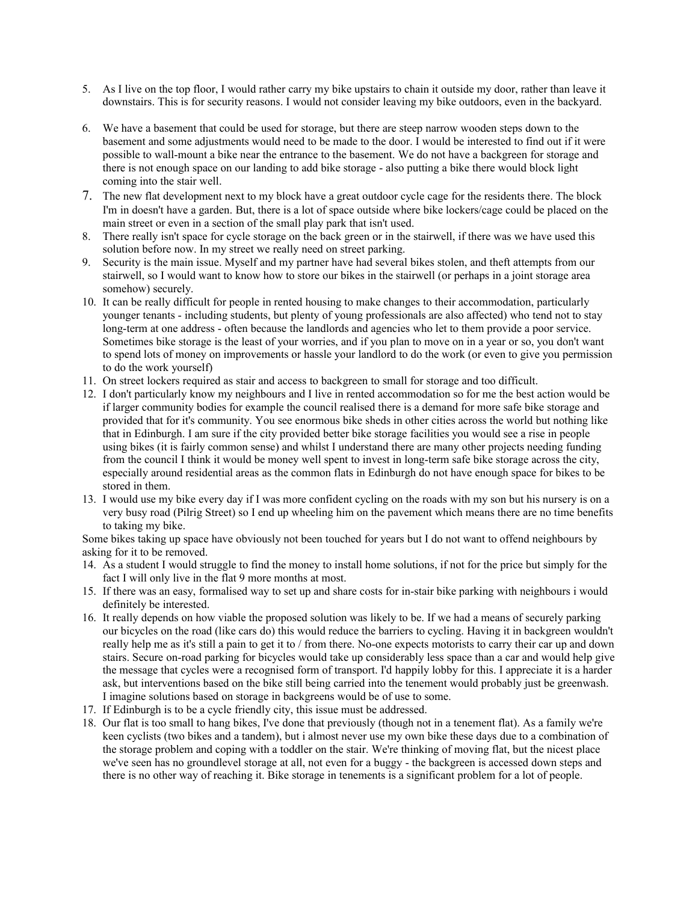- 5. As I live on the top floor, I would rather carry my bike upstairs to chain it outside my door, rather than leave it downstairs. This is for security reasons. I would not consider leaving my bike outdoors, even in the backyard.
- 6. We have a basement that could be used for storage, but there are steep narrow wooden steps down to the basement and some adjustments would need to be made to the door. I would be interested to find out if it were possible to wall-mount a bike near the entrance to the basement. We do not have a backgreen for storage and there is not enough space on our landing to add bike storage - also putting a bike there would block light coming into the stair well.
- 7. The new flat development next to my block have a great outdoor cycle cage for the residents there. The block I'm in doesn't have a garden. But, there is a lot of space outside where bike lockers/cage could be placed on the main street or even in a section of the small play park that isn't used.
- 8. There really isn't space for cycle storage on the back green or in the stairwell, if there was we have used this solution before now. In my street we really need on street parking.
- 9. Security is the main issue. Myself and my partner have had several bikes stolen, and theft attempts from our stairwell, so I would want to know how to store our bikes in the stairwell (or perhaps in a joint storage area somehow) securely.
- 10. It can be really difficult for people in rented housing to make changes to their accommodation, particularly younger tenants - including students, but plenty of young professionals are also affected) who tend not to stay long-term at one address - often because the landlords and agencies who let to them provide a poor service. Sometimes bike storage is the least of your worries, and if you plan to move on in a year or so, you don't want to spend lots of money on improvements or hassle your landlord to do the work (or even to give you permission to do the work yourself)
- 11. On street lockers required as stair and access to backgreen to small for storage and too difficult.
- 12. I don't particularly know my neighbours and I live in rented accommodation so for me the best action would be if larger community bodies for example the council realised there is a demand for more safe bike storage and provided that for it's community. You see enormous bike sheds in other cities across the world but nothing like that in Edinburgh. I am sure if the city provided better bike storage facilities you would see a rise in people using bikes (it is fairly common sense) and whilst I understand there are many other projects needing funding from the council I think it would be money well spent to invest in long-term safe bike storage across the city, especially around residential areas as the common flats in Edinburgh do not have enough space for bikes to be stored in them.
- 13. I would use my bike every day if I was more confident cycling on the roads with my son but his nursery is on a very busy road (Pilrig Street) so I end up wheeling him on the pavement which means there are no time benefits to taking my bike.

Some bikes taking up space have obviously not been touched for years but I do not want to offend neighbours by asking for it to be removed.

- 14. As a student I would struggle to find the money to install home solutions, if not for the price but simply for the fact I will only live in the flat 9 more months at most.
- 15. If there was an easy, formalised way to set up and share costs for in-stair bike parking with neighbours i would definitely be interested.
- 16. It really depends on how viable the proposed solution was likely to be. If we had a means of securely parking our bicycles on the road (like cars do) this would reduce the barriers to cycling. Having it in backgreen wouldn't really help me as it's still a pain to get it to / from there. No-one expects motorists to carry their car up and down stairs. Secure on-road parking for bicycles would take up considerably less space than a car and would help give the message that cycles were a recognised form of transport. I'd happily lobby for this. I appreciate it is a harder ask, but interventions based on the bike still being carried into the tenement would probably just be greenwash. I imagine solutions based on storage in backgreens would be of use to some.
- 17. If Edinburgh is to be a cycle friendly city, this issue must be addressed.
- 18. Our flat is too small to hang bikes, I've done that previously (though not in a tenement flat). As a family we're keen cyclists (two bikes and a tandem), but i almost never use my own bike these days due to a combination of the storage problem and coping with a toddler on the stair. We're thinking of moving flat, but the nicest place we've seen has no groundlevel storage at all, not even for a buggy - the backgreen is accessed down steps and there is no other way of reaching it. Bike storage in tenements is a significant problem for a lot of people.